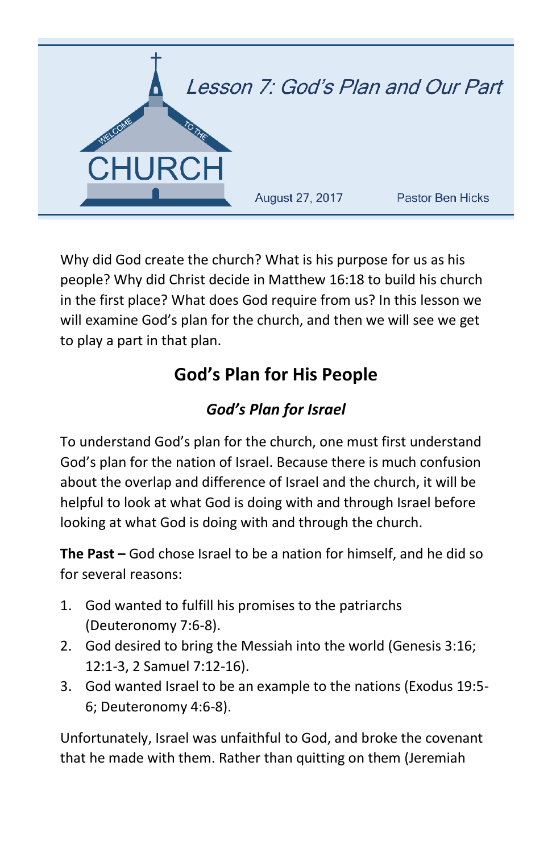

Why did God create the church? What is his purpose for us as his people? Why did Christ decide in Matthew 16:18 to build his church in the first place? What does God require from us? In this lesson we will examine God's plan for the church, and then we will see we get to play a part in that plan.

# **God's Plan for His People**

# *God's Plan for Israel*

To understand God's plan for the church, one must first understand God's plan for the nation of Israel. Because there is much confusion about the overlap and difference of Israel and the church, it will be helpful to look at what God is doing with and through Israel before looking at what God is doing with and through the church.

**The Past –** God chose Israel to be a nation for himself, and he did so for several reasons:

- 1. God wanted to fulfill his promises to the patriarchs (Deuteronomy 7:6-8).
- 2. God desired to bring the Messiah into the world (Genesis 3:16; 12:1-3, 2 Samuel 7:12-16).
- 3. God wanted Israel to be an example to the nations (Exodus 19:5- 6; Deuteronomy 4:6-8).

Unfortunately, Israel was unfaithful to God, and broke the covenant that he made with them. Rather than quitting on them (Jeremiah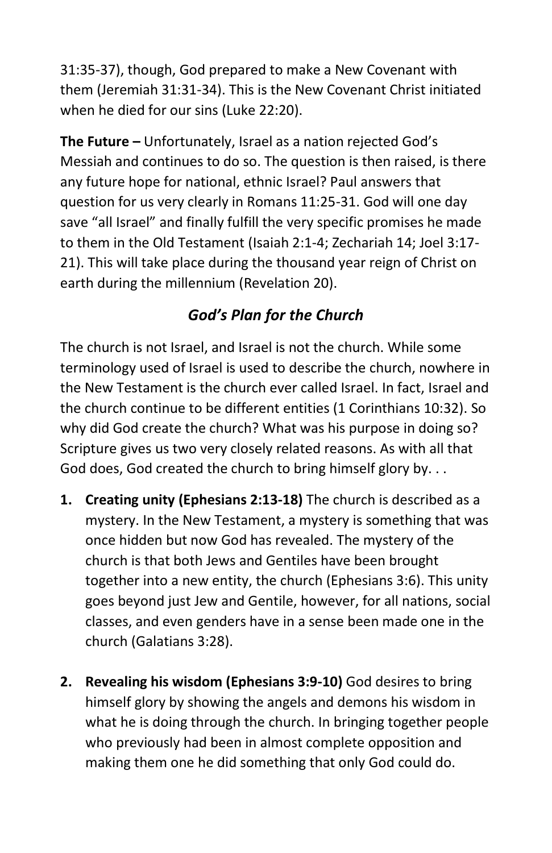31:35-37), though, God prepared to make a New Covenant with them (Jeremiah 31:31-34). This is the New Covenant Christ initiated when he died for our sins (Luke 22:20).

**The Future –** Unfortunately, Israel as a nation rejected God's Messiah and continues to do so. The question is then raised, is there any future hope for national, ethnic Israel? Paul answers that question for us very clearly in Romans 11:25-31. God will one day save "all Israel" and finally fulfill the very specific promises he made to them in the Old Testament (Isaiah 2:1-4; Zechariah 14; Joel 3:17- 21). This will take place during the thousand year reign of Christ on earth during the millennium (Revelation 20).

# *God's Plan for the Church*

The church is not Israel, and Israel is not the church. While some terminology used of Israel is used to describe the church, nowhere in the New Testament is the church ever called Israel. In fact, Israel and the church continue to be different entities (1 Corinthians 10:32). So why did God create the church? What was his purpose in doing so? Scripture gives us two very closely related reasons. As with all that God does, God created the church to bring himself glory by. . .

- **1. Creating unity (Ephesians 2:13-18)** The church is described as a mystery. In the New Testament, a mystery is something that was once hidden but now God has revealed. The mystery of the church is that both Jews and Gentiles have been brought together into a new entity, the church (Ephesians 3:6). This unity goes beyond just Jew and Gentile, however, for all nations, social classes, and even genders have in a sense been made one in the church (Galatians 3:28).
- **2. Revealing his wisdom (Ephesians 3:9-10)** God desires to bring himself glory by showing the angels and demons his wisdom in what he is doing through the church. In bringing together people who previously had been in almost complete opposition and making them one he did something that only God could do.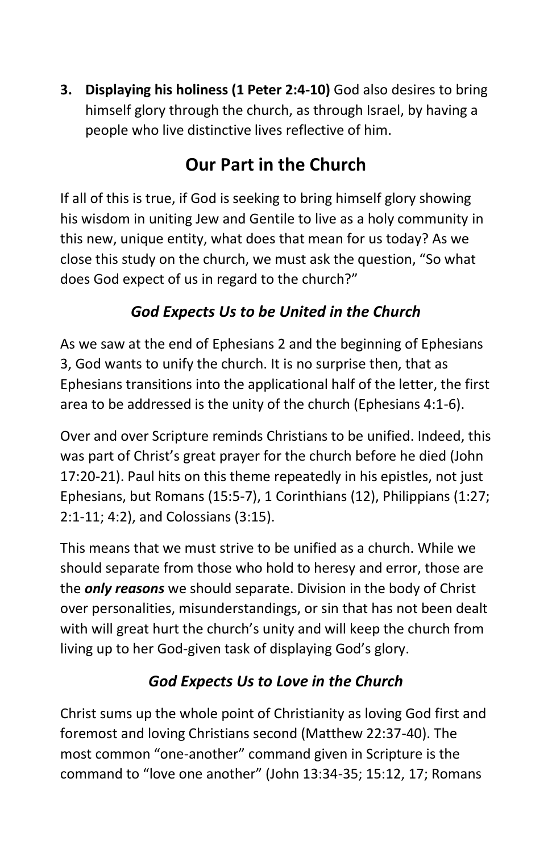**3. Displaying his holiness (1 Peter 2:4-10)** God also desires to bring himself glory through the church, as through Israel, by having a people who live distinctive lives reflective of him.

# **Our Part in the Church**

If all of this is true, if God is seeking to bring himself glory showing his wisdom in uniting Jew and Gentile to live as a holy community in this new, unique entity, what does that mean for us today? As we close this study on the church, we must ask the question, "So what does God expect of us in regard to the church?"

#### *God Expects Us to be United in the Church*

As we saw at the end of Ephesians 2 and the beginning of Ephesians 3, God wants to unify the church. It is no surprise then, that as Ephesians transitions into the applicational half of the letter, the first area to be addressed is the unity of the church (Ephesians 4:1-6).

Over and over Scripture reminds Christians to be unified. Indeed, this was part of Christ's great prayer for the church before he died (John 17:20-21). Paul hits on this theme repeatedly in his epistles, not just Ephesians, but Romans (15:5-7), 1 Corinthians (12), Philippians (1:27; 2:1-11; 4:2), and Colossians (3:15).

This means that we must strive to be unified as a church. While we should separate from those who hold to heresy and error, those are the *only reasons* we should separate. Division in the body of Christ over personalities, misunderstandings, or sin that has not been dealt with will great hurt the church's unity and will keep the church from living up to her God-given task of displaying God's glory.

## *God Expects Us to Love in the Church*

Christ sums up the whole point of Christianity as loving God first and foremost and loving Christians second (Matthew 22:37-40). The most common "one-another" command given in Scripture is the command to "love one another" (John 13:34-35; 15:12, 17; Romans